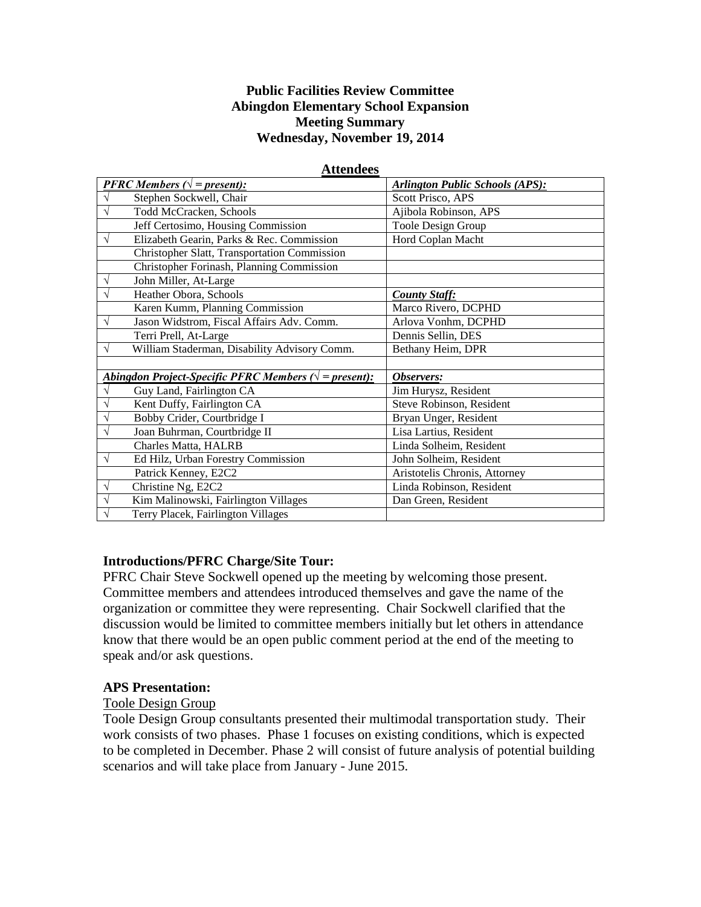#### **Public Facilities Review Committee Abingdon Elementary School Expansion Meeting Summary Wednesday, November 19, 2014**

| <b>PFRC Members (<math>\sqrt{}</math> = present):</b>           | <b>Arlington Public Schools (APS):</b> |
|-----------------------------------------------------------------|----------------------------------------|
| Stephen Sockwell, Chair                                         | Scott Prisco, APS                      |
| $\sqrt{}$<br>Todd McCracken, Schools                            | Ajibola Robinson, APS                  |
| Jeff Certosimo, Housing Commission                              | Toole Design Group                     |
| $\sqrt{ }$<br>Elizabeth Gearin, Parks & Rec. Commission         | Hord Coplan Macht                      |
| Christopher Slatt, Transportation Commission                    |                                        |
| Christopher Forinash, Planning Commission                       |                                        |
| John Miller, At-Large<br>V                                      |                                        |
| Heather Obora, Schools<br>$\sqrt{}$                             | <b>County Staff:</b>                   |
| Karen Kumm, Planning Commission                                 | Marco Rivero, DCPHD                    |
| Jason Widstrom, Fiscal Affairs Adv. Comm.<br>$\sqrt{ }$         | Arlova Vonhm, DCPHD                    |
| Terri Prell, At-Large                                           | Dennis Sellin, DES                     |
| William Staderman, Disability Advisory Comm.<br>$\sqrt{}$       | Bethany Heim, DPR                      |
|                                                                 |                                        |
| Abingdon Project-Specific PFRC Members $(\sqrt{ } = present)$ : | Observers:                             |
| Guy Land, Fairlington CA<br>$\sqrt{}$                           | Jim Hurysz, Resident                   |
| Kent Duffy, Fairlington CA<br>$\sqrt{}$                         | Steve Robinson, Resident               |
| Bobby Crider, Courtbridge I<br>$\sqrt{}$                        | Bryan Unger, Resident                  |
| Joan Buhrman, Courtbridge II<br>$\sqrt{}$                       | Lisa Lartius, Resident                 |
| Charles Matta, HALRB                                            | Linda Solheim, Resident                |
| Ed Hilz, Urban Forestry Commission<br>$\sqrt{}$                 | John Solheim, Resident                 |
| Patrick Kenney, E2C2                                            | Aristotelis Chronis, Attorney          |
| Christine Ng, E2C2<br>$\sqrt{}$                                 | Linda Robinson, Resident               |
| $\sqrt{}$<br>Kim Malinowski, Fairlington Villages               | Dan Green, Resident                    |
| Terry Placek, Fairlington Villages<br>$\sqrt{ }$                |                                        |

#### **Attendees**

#### **Introductions/PFRC Charge/Site Tour:**

PFRC Chair Steve Sockwell opened up the meeting by welcoming those present. Committee members and attendees introduced themselves and gave the name of the organization or committee they were representing. Chair Sockwell clarified that the discussion would be limited to committee members initially but let others in attendance know that there would be an open public comment period at the end of the meeting to speak and/or ask questions.

#### **APS Presentation:**

#### Toole Design Group

Toole Design Group consultants presented their multimodal transportation study. Their work consists of two phases. Phase 1 focuses on existing conditions, which is expected to be completed in December. Phase 2 will consist of future analysis of potential building scenarios and will take place from January - June 2015.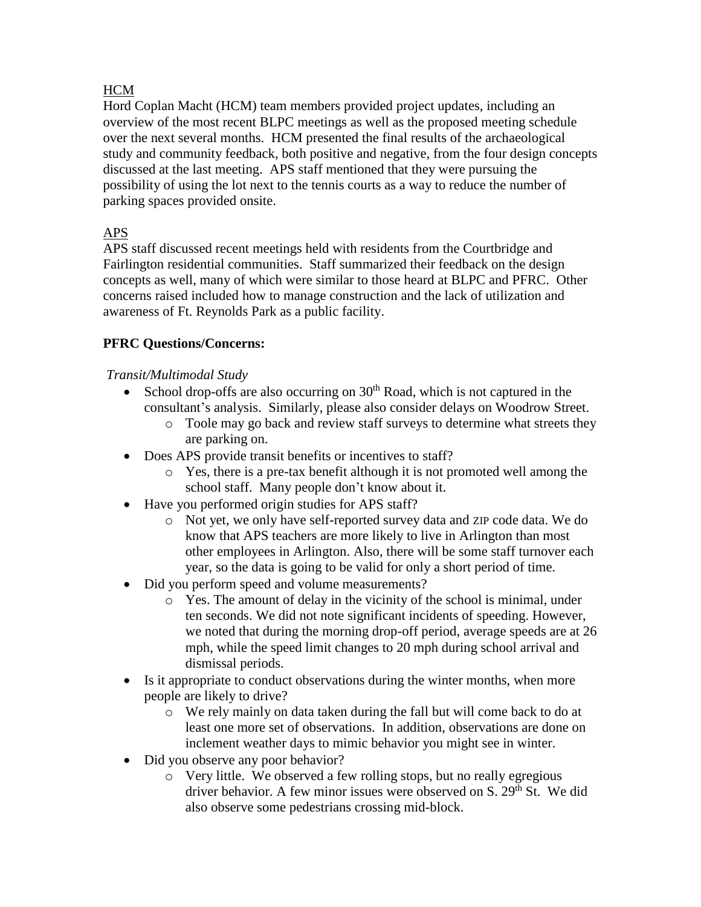### **HCM**

Hord Coplan Macht (HCM) team members provided project updates, including an overview of the most recent BLPC meetings as well as the proposed meeting schedule over the next several months. HCM presented the final results of the archaeological study and community feedback, both positive and negative, from the four design concepts discussed at the last meeting. APS staff mentioned that they were pursuing the possibility of using the lot next to the tennis courts as a way to reduce the number of parking spaces provided onsite.

## APS

APS staff discussed recent meetings held with residents from the Courtbridge and Fairlington residential communities. Staff summarized their feedback on the design concepts as well, many of which were similar to those heard at BLPC and PFRC. Other concerns raised included how to manage construction and the lack of utilization and awareness of Ft. Reynolds Park as a public facility.

### **PFRC Questions/Concerns:**

### *Transit/Multimodal Study*

- School drop-offs are also occurring on  $30<sup>th</sup>$  Road, which is not captured in the consultant's analysis. Similarly, please also consider delays on Woodrow Street.
	- o Toole may go back and review staff surveys to determine what streets they are parking on.
- Does APS provide transit benefits or incentives to staff?
	- o Yes, there is a pre-tax benefit although it is not promoted well among the school staff. Many people don't know about it.
- Have you performed origin studies for APS staff?
	- o Not yet, we only have self-reported survey data and ZIP code data. We do know that APS teachers are more likely to live in Arlington than most other employees in Arlington. Also, there will be some staff turnover each year, so the data is going to be valid for only a short period of time.
- Did you perform speed and volume measurements?
	- o Yes. The amount of delay in the vicinity of the school is minimal, under ten seconds. We did not note significant incidents of speeding. However, we noted that during the morning drop-off period, average speeds are at 26 mph, while the speed limit changes to 20 mph during school arrival and dismissal periods.
- Is it appropriate to conduct observations during the winter months, when more people are likely to drive?
	- o We rely mainly on data taken during the fall but will come back to do at least one more set of observations. In addition, observations are done on inclement weather days to mimic behavior you might see in winter.
- Did you observe any poor behavior?
	- o Very little. We observed a few rolling stops, but no really egregious driver behavior. A few minor issues were observed on  $S$ .  $29<sup>th</sup>$  St. We did also observe some pedestrians crossing mid-block.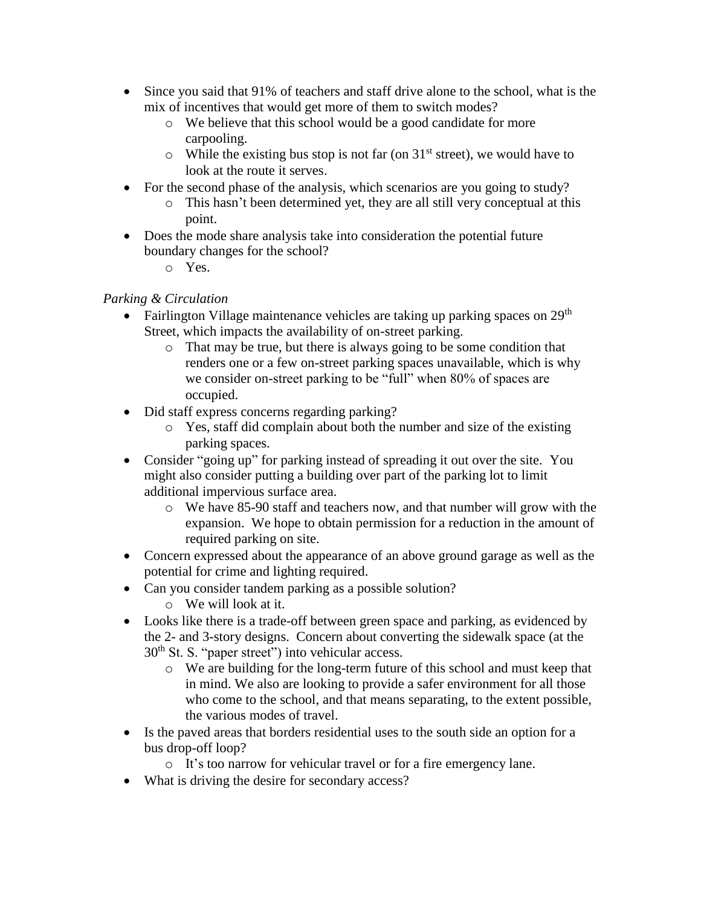- Since you said that 91% of teachers and staff drive alone to the school, what is the mix of incentives that would get more of them to switch modes?
	- o We believe that this school would be a good candidate for more carpooling.
	- $\circ$  While the existing bus stop is not far (on 31<sup>st</sup> street), we would have to look at the route it serves.
- For the second phase of the analysis, which scenarios are you going to study?
	- o This hasn't been determined yet, they are all still very conceptual at this point.
- Does the mode share analysis take into consideration the potential future boundary changes for the school?
	- o Yes.

### *Parking & Circulation*

- Fairlington Village maintenance vehicles are taking up parking spaces on  $29<sup>th</sup>$ Street, which impacts the availability of on-street parking.
	- o That may be true, but there is always going to be some condition that renders one or a few on-street parking spaces unavailable, which is why we consider on-street parking to be "full" when 80% of spaces are occupied.
- Did staff express concerns regarding parking?
	- o Yes, staff did complain about both the number and size of the existing parking spaces.
- Consider "going up" for parking instead of spreading it out over the site. You might also consider putting a building over part of the parking lot to limit additional impervious surface area.
	- o We have 85-90 staff and teachers now, and that number will grow with the expansion. We hope to obtain permission for a reduction in the amount of required parking on site.
- Concern expressed about the appearance of an above ground garage as well as the potential for crime and lighting required.
- Can you consider tandem parking as a possible solution?
	- o We will look at it.
- Looks like there is a trade-off between green space and parking, as evidenced by the 2- and 3-story designs. Concern about converting the sidewalk space (at the  $30<sup>th</sup>$  St. S. "paper street") into vehicular access.
	- o We are building for the long-term future of this school and must keep that in mind. We also are looking to provide a safer environment for all those who come to the school, and that means separating, to the extent possible, the various modes of travel.
- Is the paved areas that borders residential uses to the south side an option for a bus drop-off loop?
	- o It's too narrow for vehicular travel or for a fire emergency lane.
- What is driving the desire for secondary access?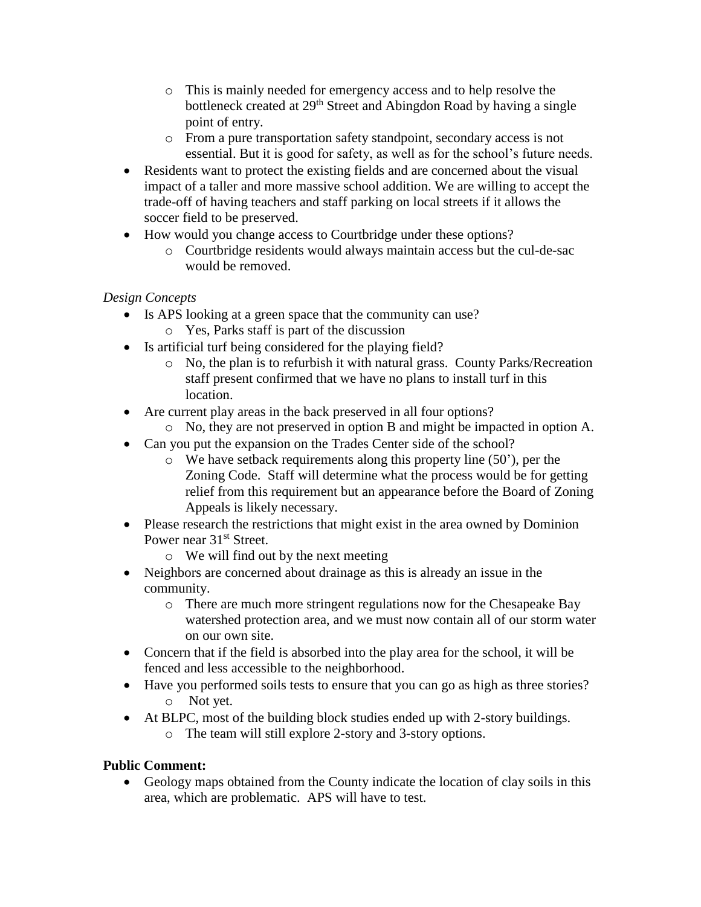- o This is mainly needed for emergency access and to help resolve the bottleneck created at 29<sup>th</sup> Street and Abingdon Road by having a single point of entry.
- o From a pure transportation safety standpoint, secondary access is not essential. But it is good for safety, as well as for the school's future needs.
- Residents want to protect the existing fields and are concerned about the visual impact of a taller and more massive school addition. We are willing to accept the trade-off of having teachers and staff parking on local streets if it allows the soccer field to be preserved.
- How would you change access to Courtbridge under these options?
	- o Courtbridge residents would always maintain access but the cul-de-sac would be removed.

# *Design Concepts*

- Is APS looking at a green space that the community can use?
	- o Yes, Parks staff is part of the discussion
- Is artificial turf being considered for the playing field?
	- o No, the plan is to refurbish it with natural grass. County Parks/Recreation staff present confirmed that we have no plans to install turf in this location.
- Are current play areas in the back preserved in all four options?
	- o No, they are not preserved in option B and might be impacted in option A.
- Can you put the expansion on the Trades Center side of the school?
	- o We have setback requirements along this property line (50'), per the Zoning Code. Staff will determine what the process would be for getting relief from this requirement but an appearance before the Board of Zoning Appeals is likely necessary.
- Please research the restrictions that might exist in the area owned by Dominion Power near 31<sup>st</sup> Street.
	- o We will find out by the next meeting
- Neighbors are concerned about drainage as this is already an issue in the community.
	- o There are much more stringent regulations now for the Chesapeake Bay watershed protection area, and we must now contain all of our storm water on our own site.
- Concern that if the field is absorbed into the play area for the school, it will be fenced and less accessible to the neighborhood.
- Have you performed soils tests to ensure that you can go as high as three stories? o Not yet.
- At BLPC, most of the building block studies ended up with 2-story buildings. o The team will still explore 2-story and 3-story options.

## **Public Comment:**

 Geology maps obtained from the County indicate the location of clay soils in this area, which are problematic. APS will have to test.